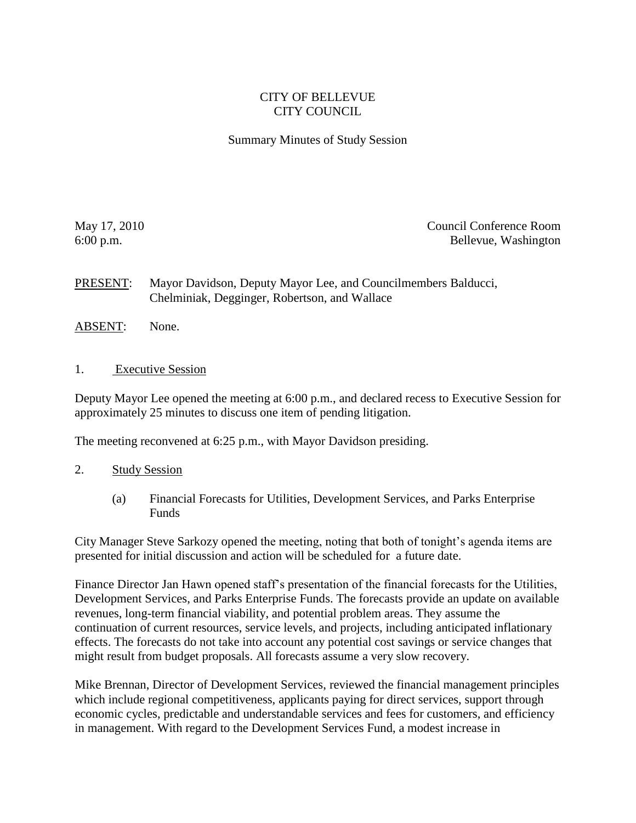## CITY OF BELLEVUE CITY COUNCIL

## Summary Minutes of Study Session

May 17, 2010 Council Conference Room 6:00 p.m. Bellevue, Washington

PRESENT: Mayor Davidson, Deputy Mayor Lee, and Councilmembers Balducci, Chelminiak, Degginger, Robertson, and Wallace

- ABSENT: None.
- 1. Executive Session

Deputy Mayor Lee opened the meeting at 6:00 p.m., and declared recess to Executive Session for approximately 25 minutes to discuss one item of pending litigation.

The meeting reconvened at 6:25 p.m., with Mayor Davidson presiding.

- 2. Study Session
	- (a) Financial Forecasts for Utilities, Development Services, and Parks Enterprise Funds

City Manager Steve Sarkozy opened the meeting, noting that both of tonight's agenda items are presented for initial discussion and action will be scheduled for a future date.

Finance Director Jan Hawn opened staff's presentation of the financial forecasts for the Utilities, Development Services, and Parks Enterprise Funds. The forecasts provide an update on available revenues, long-term financial viability, and potential problem areas. They assume the continuation of current resources, service levels, and projects, including anticipated inflationary effects. The forecasts do not take into account any potential cost savings or service changes that might result from budget proposals. All forecasts assume a very slow recovery.

Mike Brennan, Director of Development Services, reviewed the financial management principles which include regional competitiveness, applicants paying for direct services, support through economic cycles, predictable and understandable services and fees for customers, and efficiency in management. With regard to the Development Services Fund, a modest increase in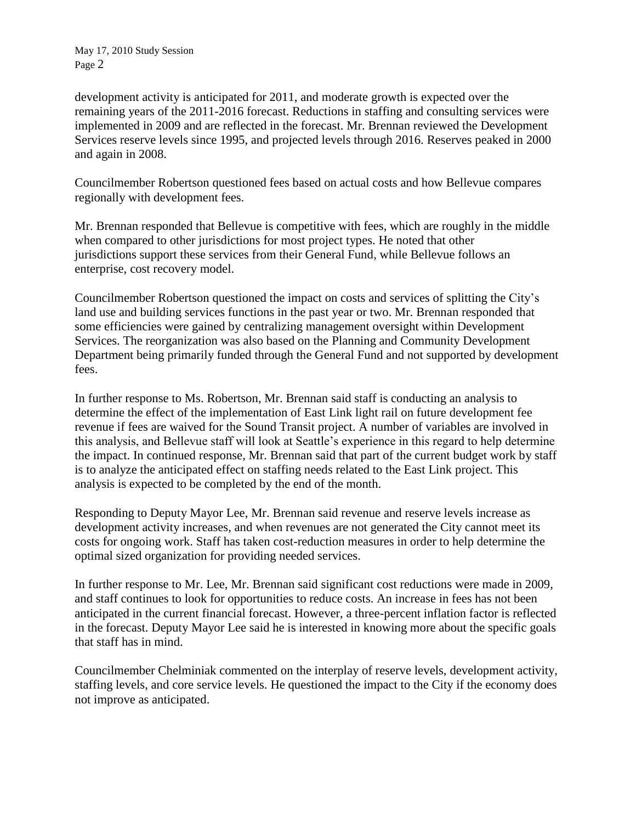development activity is anticipated for 2011, and moderate growth is expected over the remaining years of the 2011-2016 forecast. Reductions in staffing and consulting services were implemented in 2009 and are reflected in the forecast. Mr. Brennan reviewed the Development Services reserve levels since 1995, and projected levels through 2016. Reserves peaked in 2000 and again in 2008.

Councilmember Robertson questioned fees based on actual costs and how Bellevue compares regionally with development fees.

Mr. Brennan responded that Bellevue is competitive with fees, which are roughly in the middle when compared to other jurisdictions for most project types. He noted that other jurisdictions support these services from their General Fund, while Bellevue follows an enterprise, cost recovery model.

Councilmember Robertson questioned the impact on costs and services of splitting the City's land use and building services functions in the past year or two. Mr. Brennan responded that some efficiencies were gained by centralizing management oversight within Development Services. The reorganization was also based on the Planning and Community Development Department being primarily funded through the General Fund and not supported by development fees.

In further response to Ms. Robertson, Mr. Brennan said staff is conducting an analysis to determine the effect of the implementation of East Link light rail on future development fee revenue if fees are waived for the Sound Transit project. A number of variables are involved in this analysis, and Bellevue staff will look at Seattle's experience in this regard to help determine the impact. In continued response, Mr. Brennan said that part of the current budget work by staff is to analyze the anticipated effect on staffing needs related to the East Link project. This analysis is expected to be completed by the end of the month.

Responding to Deputy Mayor Lee, Mr. Brennan said revenue and reserve levels increase as development activity increases, and when revenues are not generated the City cannot meet its costs for ongoing work. Staff has taken cost-reduction measures in order to help determine the optimal sized organization for providing needed services.

In further response to Mr. Lee, Mr. Brennan said significant cost reductions were made in 2009, and staff continues to look for opportunities to reduce costs. An increase in fees has not been anticipated in the current financial forecast. However, a three-percent inflation factor is reflected in the forecast. Deputy Mayor Lee said he is interested in knowing more about the specific goals that staff has in mind.

Councilmember Chelminiak commented on the interplay of reserve levels, development activity, staffing levels, and core service levels. He questioned the impact to the City if the economy does not improve as anticipated.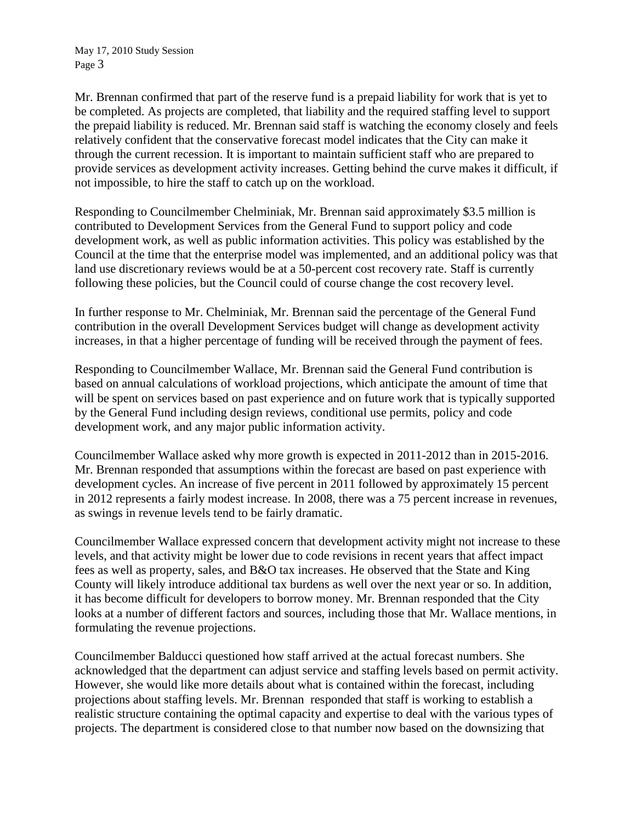Mr. Brennan confirmed that part of the reserve fund is a prepaid liability for work that is yet to be completed. As projects are completed, that liability and the required staffing level to support the prepaid liability is reduced. Mr. Brennan said staff is watching the economy closely and feels relatively confident that the conservative forecast model indicates that the City can make it through the current recession. It is important to maintain sufficient staff who are prepared to provide services as development activity increases. Getting behind the curve makes it difficult, if not impossible, to hire the staff to catch up on the workload.

Responding to Councilmember Chelminiak, Mr. Brennan said approximately \$3.5 million is contributed to Development Services from the General Fund to support policy and code development work, as well as public information activities. This policy was established by the Council at the time that the enterprise model was implemented, and an additional policy was that land use discretionary reviews would be at a 50-percent cost recovery rate. Staff is currently following these policies, but the Council could of course change the cost recovery level.

In further response to Mr. Chelminiak, Mr. Brennan said the percentage of the General Fund contribution in the overall Development Services budget will change as development activity increases, in that a higher percentage of funding will be received through the payment of fees.

Responding to Councilmember Wallace, Mr. Brennan said the General Fund contribution is based on annual calculations of workload projections, which anticipate the amount of time that will be spent on services based on past experience and on future work that is typically supported by the General Fund including design reviews, conditional use permits, policy and code development work, and any major public information activity.

Councilmember Wallace asked why more growth is expected in 2011-2012 than in 2015-2016. Mr. Brennan responded that assumptions within the forecast are based on past experience with development cycles. An increase of five percent in 2011 followed by approximately 15 percent in 2012 represents a fairly modest increase. In 2008, there was a 75 percent increase in revenues, as swings in revenue levels tend to be fairly dramatic.

Councilmember Wallace expressed concern that development activity might not increase to these levels, and that activity might be lower due to code revisions in recent years that affect impact fees as well as property, sales, and B&O tax increases. He observed that the State and King County will likely introduce additional tax burdens as well over the next year or so. In addition, it has become difficult for developers to borrow money. Mr. Brennan responded that the City looks at a number of different factors and sources, including those that Mr. Wallace mentions, in formulating the revenue projections.

Councilmember Balducci questioned how staff arrived at the actual forecast numbers. She acknowledged that the department can adjust service and staffing levels based on permit activity. However, she would like more details about what is contained within the forecast, including projections about staffing levels. Mr. Brennan responded that staff is working to establish a realistic structure containing the optimal capacity and expertise to deal with the various types of projects. The department is considered close to that number now based on the downsizing that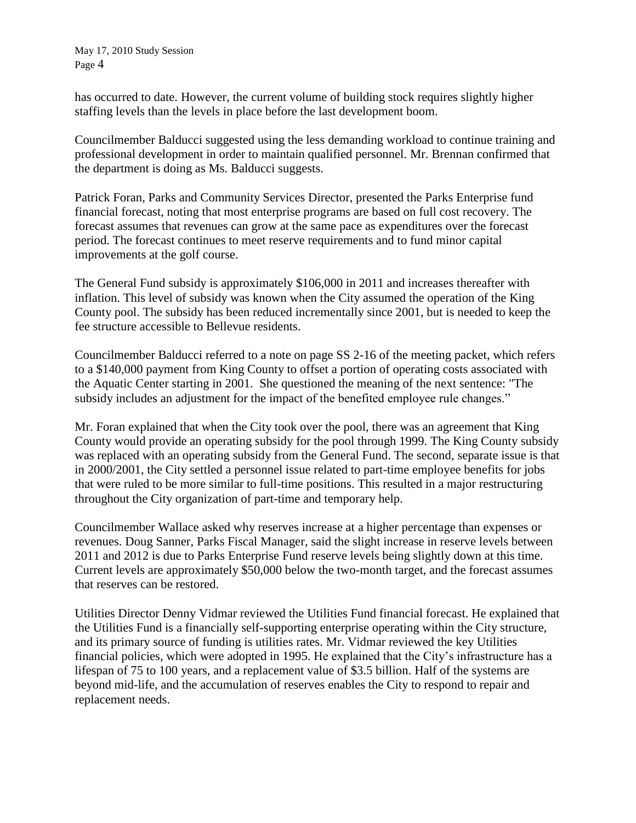has occurred to date. However, the current volume of building stock requires slightly higher staffing levels than the levels in place before the last development boom.

Councilmember Balducci suggested using the less demanding workload to continue training and professional development in order to maintain qualified personnel. Mr. Brennan confirmed that the department is doing as Ms. Balducci suggests.

Patrick Foran, Parks and Community Services Director, presented the Parks Enterprise fund financial forecast, noting that most enterprise programs are based on full cost recovery. The forecast assumes that revenues can grow at the same pace as expenditures over the forecast period. The forecast continues to meet reserve requirements and to fund minor capital improvements at the golf course.

The General Fund subsidy is approximately \$106,000 in 2011 and increases thereafter with inflation. This level of subsidy was known when the City assumed the operation of the King County pool. The subsidy has been reduced incrementally since 2001, but is needed to keep the fee structure accessible to Bellevue residents.

Councilmember Balducci referred to a note on page SS 2-16 of the meeting packet, which refers to a \$140,000 payment from King County to offset a portion of operating costs associated with the Aquatic Center starting in 2001. She questioned the meaning of the next sentence: "The subsidy includes an adjustment for the impact of the benefited employee rule changes."

Mr. Foran explained that when the City took over the pool, there was an agreement that King County would provide an operating subsidy for the pool through 1999. The King County subsidy was replaced with an operating subsidy from the General Fund. The second, separate issue is that in 2000/2001, the City settled a personnel issue related to part-time employee benefits for jobs that were ruled to be more similar to full-time positions. This resulted in a major restructuring throughout the City organization of part-time and temporary help.

Councilmember Wallace asked why reserves increase at a higher percentage than expenses or revenues. Doug Sanner, Parks Fiscal Manager, said the slight increase in reserve levels between 2011 and 2012 is due to Parks Enterprise Fund reserve levels being slightly down at this time. Current levels are approximately \$50,000 below the two-month target, and the forecast assumes that reserves can be restored.

Utilities Director Denny Vidmar reviewed the Utilities Fund financial forecast. He explained that the Utilities Fund is a financially self-supporting enterprise operating within the City structure, and its primary source of funding is utilities rates. Mr. Vidmar reviewed the key Utilities financial policies, which were adopted in 1995. He explained that the City's infrastructure has a lifespan of 75 to 100 years, and a replacement value of \$3.5 billion. Half of the systems are beyond mid-life, and the accumulation of reserves enables the City to respond to repair and replacement needs.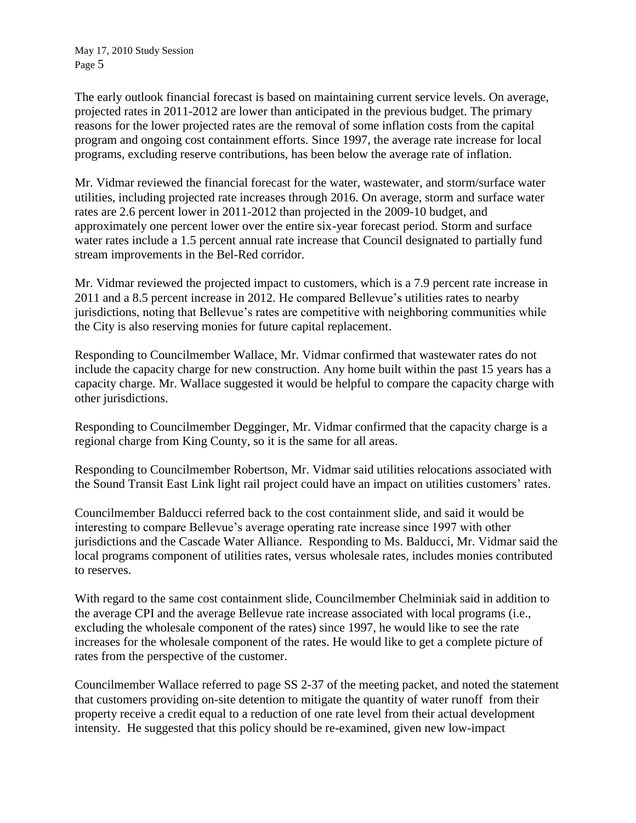The early outlook financial forecast is based on maintaining current service levels. On average, projected rates in 2011-2012 are lower than anticipated in the previous budget. The primary reasons for the lower projected rates are the removal of some inflation costs from the capital program and ongoing cost containment efforts. Since 1997, the average rate increase for local programs, excluding reserve contributions, has been below the average rate of inflation.

Mr. Vidmar reviewed the financial forecast for the water, wastewater, and storm/surface water utilities, including projected rate increases through 2016. On average, storm and surface water rates are 2.6 percent lower in 2011-2012 than projected in the 2009-10 budget, and approximately one percent lower over the entire six-year forecast period. Storm and surface water rates include a 1.5 percent annual rate increase that Council designated to partially fund stream improvements in the Bel-Red corridor.

Mr. Vidmar reviewed the projected impact to customers, which is a 7.9 percent rate increase in 2011 and a 8.5 percent increase in 2012. He compared Bellevue's utilities rates to nearby jurisdictions, noting that Bellevue's rates are competitive with neighboring communities while the City is also reserving monies for future capital replacement.

Responding to Councilmember Wallace, Mr. Vidmar confirmed that wastewater rates do not include the capacity charge for new construction. Any home built within the past 15 years has a capacity charge. Mr. Wallace suggested it would be helpful to compare the capacity charge with other jurisdictions.

Responding to Councilmember Degginger, Mr. Vidmar confirmed that the capacity charge is a regional charge from King County, so it is the same for all areas.

Responding to Councilmember Robertson, Mr. Vidmar said utilities relocations associated with the Sound Transit East Link light rail project could have an impact on utilities customers' rates.

Councilmember Balducci referred back to the cost containment slide, and said it would be interesting to compare Bellevue's average operating rate increase since 1997 with other jurisdictions and the Cascade Water Alliance. Responding to Ms. Balducci, Mr. Vidmar said the local programs component of utilities rates, versus wholesale rates, includes monies contributed to reserves.

With regard to the same cost containment slide, Councilmember Chelminiak said in addition to the average CPI and the average Bellevue rate increase associated with local programs (i.e., excluding the wholesale component of the rates) since 1997, he would like to see the rate increases for the wholesale component of the rates. He would like to get a complete picture of rates from the perspective of the customer.

Councilmember Wallace referred to page SS 2-37 of the meeting packet, and noted the statement that customers providing on-site detention to mitigate the quantity of water runoff from their property receive a credit equal to a reduction of one rate level from their actual development intensity. He suggested that this policy should be re-examined, given new low-impact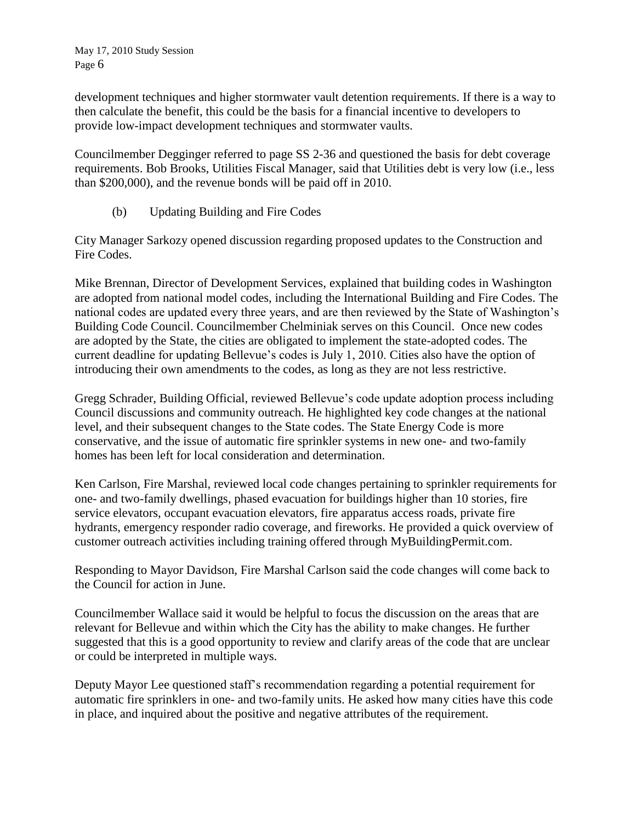development techniques and higher stormwater vault detention requirements. If there is a way to then calculate the benefit, this could be the basis for a financial incentive to developers to provide low-impact development techniques and stormwater vaults.

Councilmember Degginger referred to page SS 2-36 and questioned the basis for debt coverage requirements. Bob Brooks, Utilities Fiscal Manager, said that Utilities debt is very low (i.e., less than \$200,000), and the revenue bonds will be paid off in 2010.

(b) Updating Building and Fire Codes

City Manager Sarkozy opened discussion regarding proposed updates to the Construction and Fire Codes.

Mike Brennan, Director of Development Services, explained that building codes in Washington are adopted from national model codes, including the International Building and Fire Codes. The national codes are updated every three years, and are then reviewed by the State of Washington's Building Code Council. Councilmember Chelminiak serves on this Council. Once new codes are adopted by the State, the cities are obligated to implement the state-adopted codes. The current deadline for updating Bellevue's codes is July 1, 2010. Cities also have the option of introducing their own amendments to the codes, as long as they are not less restrictive.

Gregg Schrader, Building Official, reviewed Bellevue's code update adoption process including Council discussions and community outreach. He highlighted key code changes at the national level, and their subsequent changes to the State codes. The State Energy Code is more conservative, and the issue of automatic fire sprinkler systems in new one- and two-family homes has been left for local consideration and determination.

Ken Carlson, Fire Marshal, reviewed local code changes pertaining to sprinkler requirements for one- and two-family dwellings, phased evacuation for buildings higher than 10 stories, fire service elevators, occupant evacuation elevators, fire apparatus access roads, private fire hydrants, emergency responder radio coverage, and fireworks. He provided a quick overview of customer outreach activities including training offered through MyBuildingPermit.com.

Responding to Mayor Davidson, Fire Marshal Carlson said the code changes will come back to the Council for action in June.

Councilmember Wallace said it would be helpful to focus the discussion on the areas that are relevant for Bellevue and within which the City has the ability to make changes. He further suggested that this is a good opportunity to review and clarify areas of the code that are unclear or could be interpreted in multiple ways.

Deputy Mayor Lee questioned staff's recommendation regarding a potential requirement for automatic fire sprinklers in one- and two-family units. He asked how many cities have this code in place, and inquired about the positive and negative attributes of the requirement.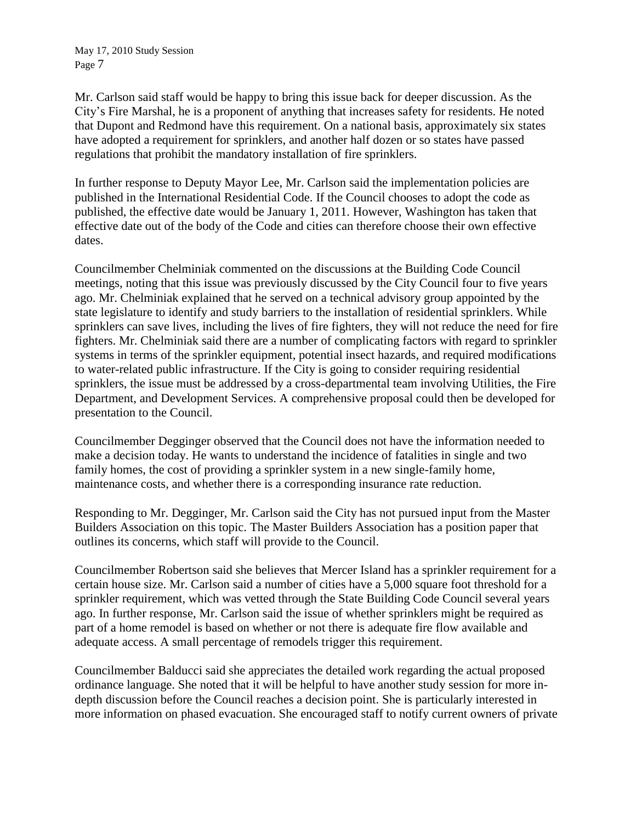Mr. Carlson said staff would be happy to bring this issue back for deeper discussion. As the City's Fire Marshal, he is a proponent of anything that increases safety for residents. He noted that Dupont and Redmond have this requirement. On a national basis, approximately six states have adopted a requirement for sprinklers, and another half dozen or so states have passed regulations that prohibit the mandatory installation of fire sprinklers.

In further response to Deputy Mayor Lee, Mr. Carlson said the implementation policies are published in the International Residential Code. If the Council chooses to adopt the code as published, the effective date would be January 1, 2011. However, Washington has taken that effective date out of the body of the Code and cities can therefore choose their own effective dates.

Councilmember Chelminiak commented on the discussions at the Building Code Council meetings, noting that this issue was previously discussed by the City Council four to five years ago. Mr. Chelminiak explained that he served on a technical advisory group appointed by the state legislature to identify and study barriers to the installation of residential sprinklers. While sprinklers can save lives, including the lives of fire fighters, they will not reduce the need for fire fighters. Mr. Chelminiak said there are a number of complicating factors with regard to sprinkler systems in terms of the sprinkler equipment, potential insect hazards, and required modifications to water-related public infrastructure. If the City is going to consider requiring residential sprinklers, the issue must be addressed by a cross-departmental team involving Utilities, the Fire Department, and Development Services. A comprehensive proposal could then be developed for presentation to the Council.

Councilmember Degginger observed that the Council does not have the information needed to make a decision today. He wants to understand the incidence of fatalities in single and two family homes, the cost of providing a sprinkler system in a new single-family home, maintenance costs, and whether there is a corresponding insurance rate reduction.

Responding to Mr. Degginger, Mr. Carlson said the City has not pursued input from the Master Builders Association on this topic. The Master Builders Association has a position paper that outlines its concerns, which staff will provide to the Council.

Councilmember Robertson said she believes that Mercer Island has a sprinkler requirement for a certain house size. Mr. Carlson said a number of cities have a 5,000 square foot threshold for a sprinkler requirement, which was vetted through the State Building Code Council several years ago. In further response, Mr. Carlson said the issue of whether sprinklers might be required as part of a home remodel is based on whether or not there is adequate fire flow available and adequate access. A small percentage of remodels trigger this requirement.

Councilmember Balducci said she appreciates the detailed work regarding the actual proposed ordinance language. She noted that it will be helpful to have another study session for more indepth discussion before the Council reaches a decision point. She is particularly interested in more information on phased evacuation. She encouraged staff to notify current owners of private